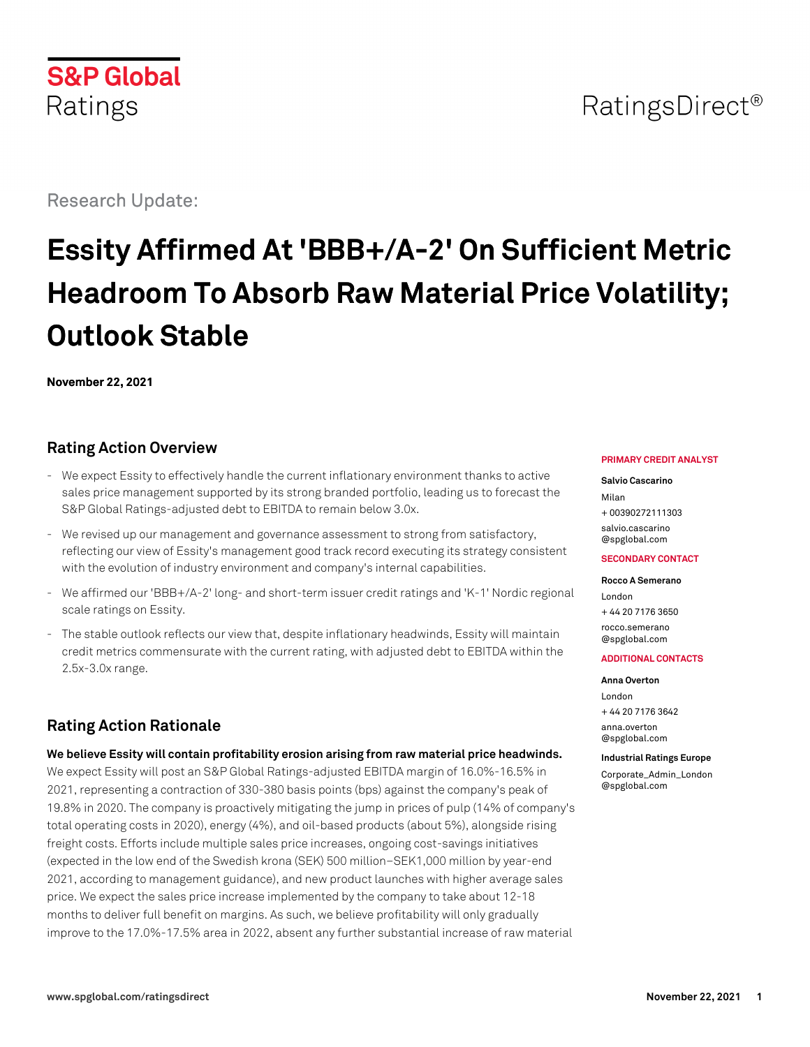# RatingsDirect<sup>®</sup>

Research Update:

**S&P Global** 

Ratings

# **Essity Affirmed At 'BBB+/A-2' On Sufficient Metric Headroom To Absorb Raw Material Price Volatility; Outlook Stable**

**November 22, 2021**

# **Rating Action Overview**

- We expect Essity to effectively handle the current inflationary environment thanks to active sales price management supported by its strong branded portfolio, leading us to forecast the S&P Global Ratings-adjusted debt to EBITDA to remain below 3.0x.
- We revised up our management and governance assessment to strong from satisfactory, reflecting our view of Essity's management good track record executing its strategy consistent with the evolution of industry environment and company's internal capabilities.
- We affirmed our 'BBB+/A-2' long- and short-term issuer credit ratings and 'K-1' Nordic regional scale ratings on Essity.
- The stable outlook reflects our view that, despite inflationary headwinds, Essity will maintain credit metrics commensurate with the current rating, with adjusted debt to EBITDA within the 2.5x-3.0x range.

# **Rating Action Rationale**

#### **We believe Essity will contain profitability erosion arising from raw material price headwinds.**

We expect Essity will post an S&P Global Ratings-adjusted EBITDA margin of 16.0%-16.5% in 2021, representing a contraction of 330-380 basis points (bps) against the company's peak of 19.8% in 2020. The company is proactively mitigating the jump in prices of pulp (14% of company's total operating costs in 2020), energy (4%), and oil-based products (about 5%), alongside rising freight costs. Efforts include multiple sales price increases, ongoing cost-savings initiatives (expected in the low end of the Swedish krona (SEK) 500 million–SEK1,000 million by year-end 2021, according to management guidance), and new product launches with higher average sales price. We expect the sales price increase implemented by the company to take about 12-18 months to deliver full benefit on margins. As such, we believe profitability will only gradually improve to the 17.0%-17.5% area in 2022, absent any further substantial increase of raw material

#### **PRIMARY CREDIT ANALYST**

#### **Salvio Cascarino**

Milan + 00390272111303 [salvio.cascarino](mailto:salvio.cascarino@spglobal.com) [@spglobal.com](mailto:salvio.cascarino@spglobal.com)

#### **SECONDARY CONTACT**

#### **Rocco A Semerano** London + 44 20 7176 3650

[rocco.semerano](mailto:rocco.semerano@spglobal.com) [@spglobal.com](mailto:rocco.semerano@spglobal.com)

#### **ADDITIONAL CONTACTS**

#### **Anna Overton**

London + 44 20 7176 3642 [anna.overton](mailto:anna.overton@spglobal.com) [@spglobal.com](mailto:anna.overton@spglobal.com)

**Industrial Ratings Europe** [Corporate\\_Admin\\_London](mailto:Corporate_Admin_London@spglobal.com) [@spglobal.com](mailto:Corporate_Admin_London@spglobal.com)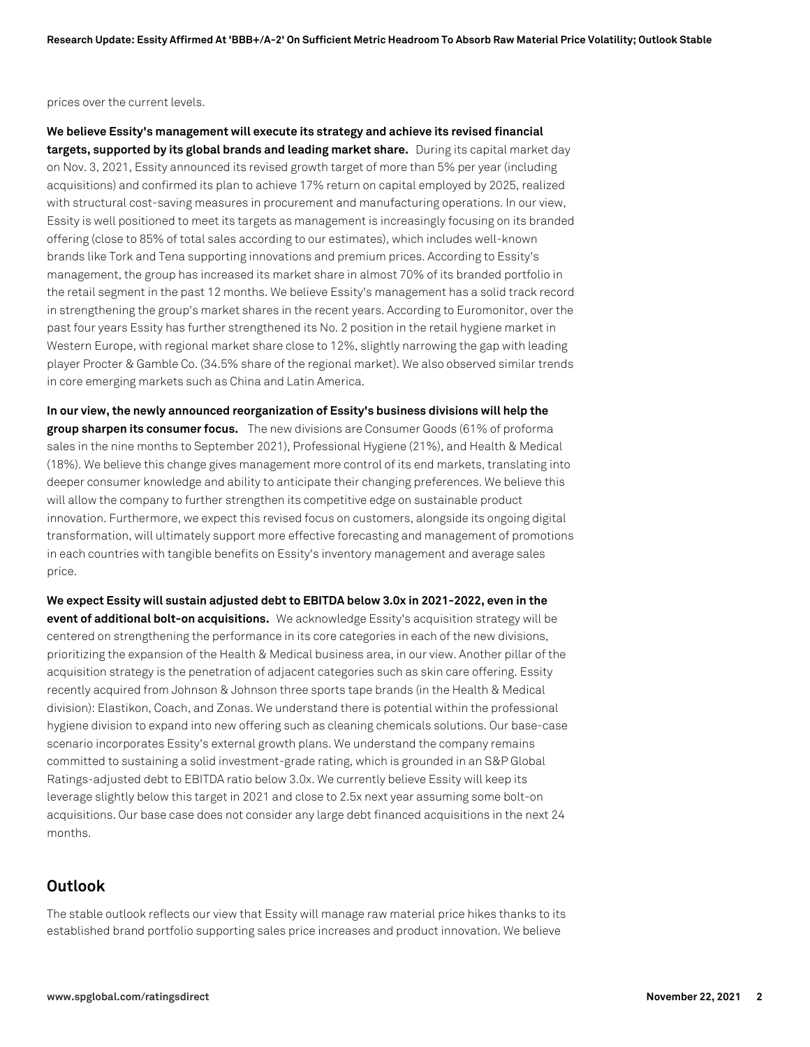prices over the current levels.

**We believe Essity's management will execute its strategy and achieve its revised financial targets, supported by its global brands and leading market share.** During its capital market day on Nov. 3, 2021, Essity announced its revised growth target of more than 5% per year (including acquisitions) and confirmed its plan to achieve 17% return on capital employed by 2025, realized with structural cost-saving measures in procurement and manufacturing operations. In our view, Essity is well positioned to meet its targets as management is increasingly focusing on its branded offering (close to 85% of total sales according to our estimates), which includes well-known brands like Tork and Tena supporting innovations and premium prices. According to Essity's management, the group has increased its market share in almost 70% of its branded portfolio in the retail segment in the past 12 months. We believe Essity's management has a solid track record in strengthening the group's market shares in the recent years. According to Euromonitor, over the past four years Essity has further strengthened its No. 2 position in the retail hygiene market in Western Europe, with regional market share close to 12%, slightly narrowing the gap with leading player Procter & Gamble Co. (34.5% share of the regional market). We also observed similar trends in core emerging markets such as China and Latin America.

**In our view, the newly announced reorganization of Essity's business divisions will help the group sharpen its consumer focus.** The new divisions are Consumer Goods (61% of proforma sales in the nine months to September 2021), Professional Hygiene (21%), and Health & Medical (18%). We believe this change gives management more control of its end markets, translating into deeper consumer knowledge and ability to anticipate their changing preferences. We believe this will allow the company to further strengthen its competitive edge on sustainable product innovation. Furthermore, we expect this revised focus on customers, alongside its ongoing digital transformation, will ultimately support more effective forecasting and management of promotions in each countries with tangible benefits on Essity's inventory management and average sales price.

**We expect Essity will sustain adjusted debt to EBITDA below 3.0x in 2021-2022, even in the event of additional bolt-on acquisitions.** We acknowledge Essity's acquisition strategy will be centered on strengthening the performance in its core categories in each of the new divisions, prioritizing the expansion of the Health & Medical business area, in our view. Another pillar of the acquisition strategy is the penetration of adjacent categories such as skin care offering. Essity recently acquired from Johnson & Johnson three sports tape brands (in the Health & Medical division): Elastikon, Coach, and Zonas. We understand there is potential within the professional hygiene division to expand into new offering such as cleaning chemicals solutions. Our base-case scenario incorporates Essity's external growth plans. We understand the company remains committed to sustaining a solid investment-grade rating, which is grounded in an S&P Global Ratings-adjusted debt to EBITDA ratio below 3.0x. We currently believe Essity will keep its leverage slightly below this target in 2021 and close to 2.5x next year assuming some bolt-on acquisitions. Our base case does not consider any large debt financed acquisitions in the next 24 months.

# **Outlook**

The stable outlook reflects our view that Essity will manage raw material price hikes thanks to its established brand portfolio supporting sales price increases and product innovation. We believe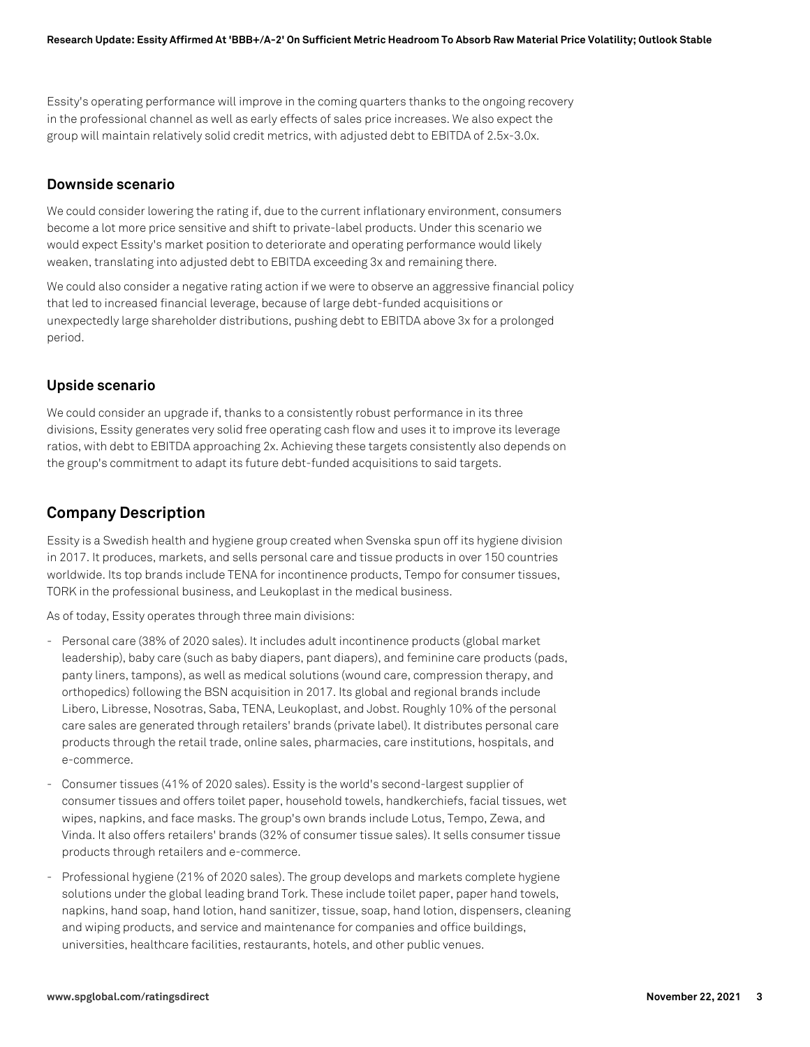Essity's operating performance will improve in the coming quarters thanks to the ongoing recovery in the professional channel as well as early effects of sales price increases. We also expect the group will maintain relatively solid credit metrics, with adjusted debt to EBITDA of 2.5x-3.0x.

## **Downside scenario**

We could consider lowering the rating if, due to the current inflationary environment, consumers become a lot more price sensitive and shift to private-label products. Under this scenario we would expect Essity's market position to deteriorate and operating performance would likely weaken, translating into adjusted debt to EBITDA exceeding 3x and remaining there.

We could also consider a negative rating action if we were to observe an aggressive financial policy that led to increased financial leverage, because of large debt-funded acquisitions or unexpectedly large shareholder distributions, pushing debt to EBITDA above 3x for a prolonged period.

## **Upside scenario**

We could consider an upgrade if, thanks to a consistently robust performance in its three divisions, Essity generates very solid free operating cash flow and uses it to improve its leverage ratios, with debt to EBITDA approaching 2x. Achieving these targets consistently also depends on the group's commitment to adapt its future debt-funded acquisitions to said targets.

# **Company Description**

Essity is a Swedish health and hygiene group created when Svenska spun off its hygiene division in 2017. It produces, markets, and sells personal care and tissue products in over 150 countries worldwide. Its top brands include TENA for incontinence products, Tempo for consumer tissues, TORK in the professional business, and Leukoplast in the medical business.

As of today, Essity operates through three main divisions:

- Personal care (38% of 2020 sales). It includes adult incontinence products (global market leadership), baby care (such as baby diapers, pant diapers), and feminine care products (pads, panty liners, tampons), as well as medical solutions (wound care, compression therapy, and orthopedics) following the BSN acquisition in 2017. Its global and regional brands include Libero, Libresse, Nosotras, Saba, TENA, Leukoplast, and Jobst. Roughly 10% of the personal care sales are generated through retailers' brands (private label). It distributes personal care products through the retail trade, online sales, pharmacies, care institutions, hospitals, and e-commerce.
- Consumer tissues (41% of 2020 sales). Essity is the world's second-largest supplier of consumer tissues and offers toilet paper, household towels, handkerchiefs, facial tissues, wet wipes, napkins, and face masks. The group's own brands include Lotus, Tempo, Zewa, and Vinda. It also offers retailers' brands (32% of consumer tissue sales). It sells consumer tissue products through retailers and e-commerce.
- Professional hygiene (21% of 2020 sales). The group develops and markets complete hygiene solutions under the global leading brand Tork. These include toilet paper, paper hand towels, napkins, hand soap, hand lotion, hand sanitizer, tissue, soap, hand lotion, dispensers, cleaning and wiping products, and service and maintenance for companies and office buildings, universities, healthcare facilities, restaurants, hotels, and other public venues.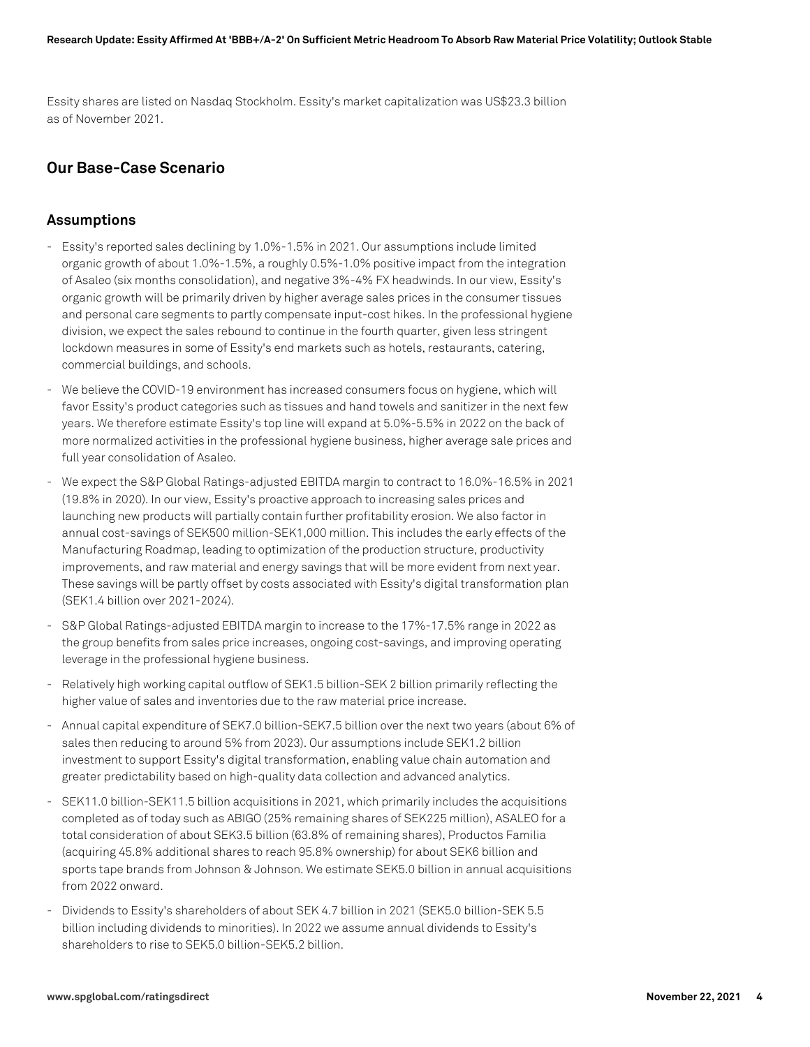Essity shares are listed on Nasdaq Stockholm. Essity's market capitalization was US\$23.3 billion as of November 2021.

# **Our Base-Case Scenario**

## **Assumptions**

- Essity's reported sales declining by 1.0%-1.5% in 2021. Our assumptions include limited organic growth of about 1.0%-1.5%, a roughly 0.5%-1.0% positive impact from the integration of Asaleo (six months consolidation), and negative 3%-4% FX headwinds. In our view, Essity's organic growth will be primarily driven by higher average sales prices in the consumer tissues and personal care segments to partly compensate input-cost hikes. In the professional hygiene division, we expect the sales rebound to continue in the fourth quarter, given less stringent lockdown measures in some of Essity's end markets such as hotels, restaurants, catering, commercial buildings, and schools.
- We believe the COVID-19 environment has increased consumers focus on hygiene, which will favor Essity's product categories such as tissues and hand towels and sanitizer in the next few years. We therefore estimate Essity's top line will expand at 5.0%-5.5% in 2022 on the back of more normalized activities in the professional hygiene business, higher average sale prices and full year consolidation of Asaleo.
- We expect the S&P Global Ratings-adjusted EBITDA margin to contract to 16.0%-16.5% in 2021 (19.8% in 2020). In our view, Essity's proactive approach to increasing sales prices and launching new products will partially contain further profitability erosion. We also factor in annual cost-savings of SEK500 million-SEK1,000 million. This includes the early effects of the Manufacturing Roadmap, leading to optimization of the production structure, productivity improvements, and raw material and energy savings that will be more evident from next year. These savings will be partly offset by costs associated with Essity's digital transformation plan (SEK1.4 billion over 2021-2024).
- S&P Global Ratings-adjusted EBITDA margin to increase to the 17%-17.5% range in 2022 as the group benefits from sales price increases, ongoing cost-savings, and improving operating leverage in the professional hygiene business.
- Relatively high working capital outflow of SEK1.5 billion-SEK 2 billion primarily reflecting the higher value of sales and inventories due to the raw material price increase.
- Annual capital expenditure of SEK7.0 billion-SEK7.5 billion over the next two years (about 6% of sales then reducing to around 5% from 2023). Our assumptions include SEK1.2 billion investment to support Essity's digital transformation, enabling value chain automation and greater predictability based on high-quality data collection and advanced analytics.
- SEK11.0 billion-SEK11.5 billion acquisitions in 2021, which primarily includes the acquisitions completed as of today such as ABIGO (25% remaining shares of SEK225 million), ASALEO for a total consideration of about SEK3.5 billion (63.8% of remaining shares), Productos Familia (acquiring 45.8% additional shares to reach 95.8% ownership) for about SEK6 billion and sports tape brands from Johnson & Johnson. We estimate SEK5.0 billion in annual acquisitions from 2022 onward.
- Dividends to Essity's shareholders of about SEK 4.7 billion in 2021 (SEK5.0 billion-SEK 5.5 billion including dividends to minorities). In 2022 we assume annual dividends to Essity's shareholders to rise to SEK5.0 billion-SEK5.2 billion.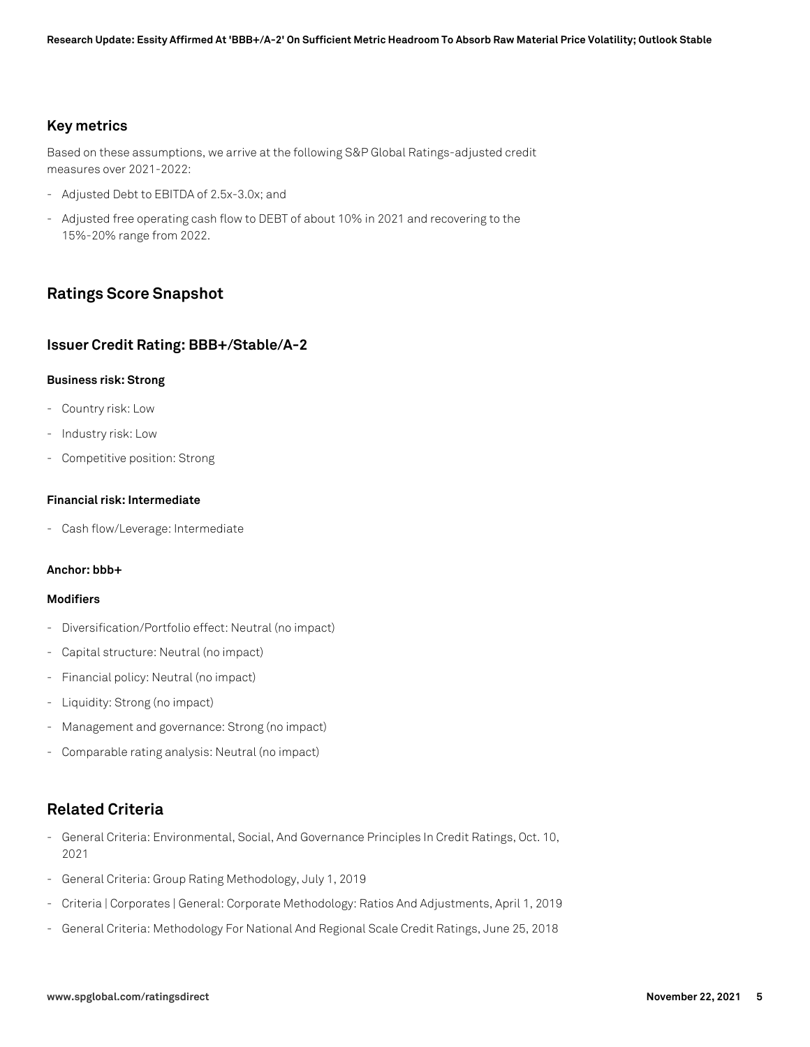## **Key metrics**

Based on these assumptions, we arrive at the following S&P Global Ratings-adjusted credit measures over 2021-2022:

- Adjusted Debt to EBITDA of 2.5x-3.0x; and
- Adjusted free operating cash flow to DEBT of about 10% in 2021 and recovering to the 15%-20% range from 2022.

# **Ratings Score Snapshot**

## **Issuer Credit Rating: BBB+/Stable/A-2**

#### **Business risk: Strong**

- Country risk: Low
- Industry risk: Low
- Competitive position: Strong

#### **Financial risk: Intermediate**

- Cash flow/Leverage: Intermediate

#### **Anchor: bbb+**

### **Modifiers**

- Diversification/Portfolio effect: Neutral (no impact)
- Capital structure: Neutral (no impact)
- Financial policy: Neutral (no impact)
- Liquidity: Strong (no impact)
- Management and governance: Strong (no impact)
- Comparable rating analysis: Neutral (no impact)

# **Related Criteria**

- General Criteria: Environmental, Social, And Governance Principles In Credit Ratings, Oct. 10, 2021
- General Criteria: Group Rating Methodology, July 1, 2019
- Criteria | Corporates | General: Corporate Methodology: Ratios And Adjustments, April 1, 2019
- General Criteria: Methodology For National And Regional Scale Credit Ratings, June 25, 2018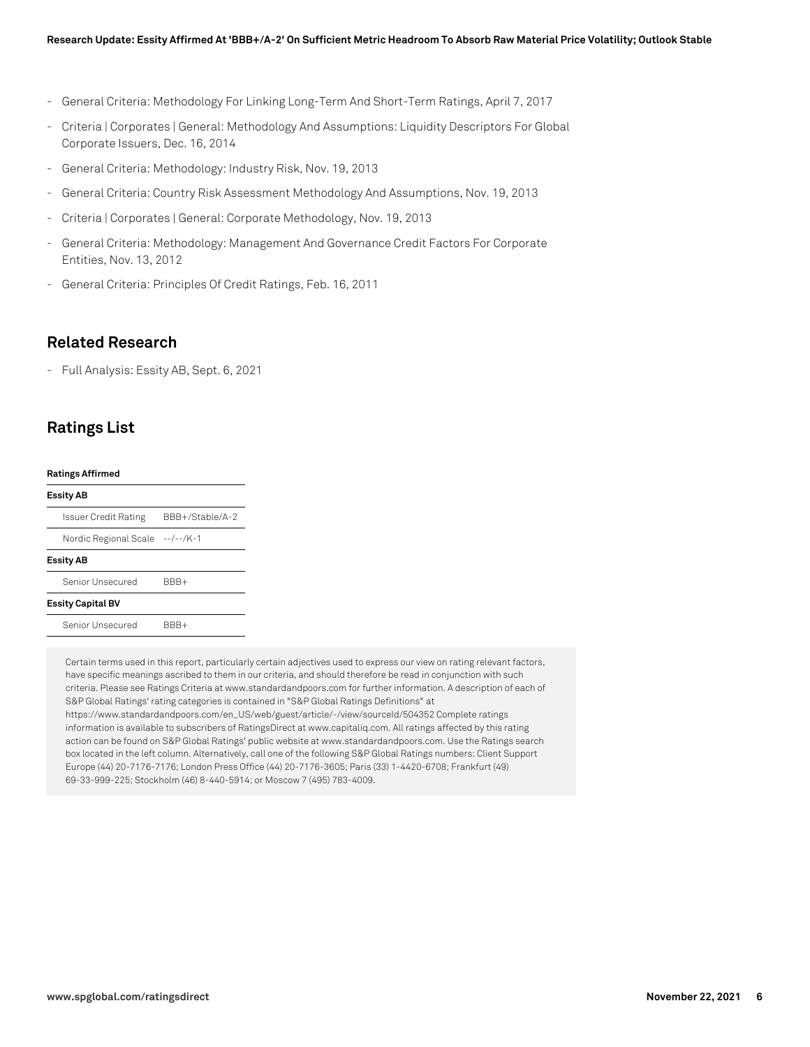- General Criteria: Methodology For Linking Long-Term And Short-Term Ratings, April 7, 2017
- Criteria | Corporates | General: Methodology And Assumptions: Liquidity Descriptors For Global Corporate Issuers, Dec. 16, 2014
- General Criteria: Methodology: Industry Risk, Nov. 19, 2013
- General Criteria: Country Risk Assessment Methodology And Assumptions, Nov. 19, 2013
- Criteria | Corporates | General: Corporate Methodology, Nov. 19, 2013
- General Criteria: Methodology: Management And Governance Credit Factors For Corporate Entities, Nov. 13, 2012
- General Criteria: Principles Of Credit Ratings, Feb. 16, 2011

## **Related Research**

- Full Analysis: Essity AB, Sept. 6, 2021

# **Ratings List**

#### **Ratings Affirmed**

#### **Essity AB**

| <b>Essity AB</b>                |                 |
|---------------------------------|-----------------|
| Nordic Regional Scale --/--/K-1 |                 |
| Issuer Credit Rating            | BBB+/Stable/A-2 |

Senior Unsecured BBB+

#### **Essity Capital BV**

Senior Unsecured BBB+

Certain terms used in this report, particularly certain adjectives used to express our view on rating relevant factors, have specific meanings ascribed to them in our criteria, and should therefore be read in conjunction with such criteria. Please see Ratings Criteria at www.standardandpoors.com for further information. A description of each of S&P Global Ratings' rating categories is contained in "S&P Global Ratings Definitions" at https://www.standardandpoors.com/en\_US/web/guest/article/-/view/sourceId/504352 Complete ratings information is available to subscribers of RatingsDirect at www.capitaliq.com. All ratings affected by this rating action can be found on S&P Global Ratings' public website at www.standardandpoors.com. Use the Ratings search box located in the left column. Alternatively, call one of the following S&P Global Ratings numbers: Client Support Europe (44) 20-7176-7176; London Press Office (44) 20-7176-3605; Paris (33) 1-4420-6708; Frankfurt (49) 69-33-999-225; Stockholm (46) 8-440-5914; or Moscow 7 (495) 783-4009.